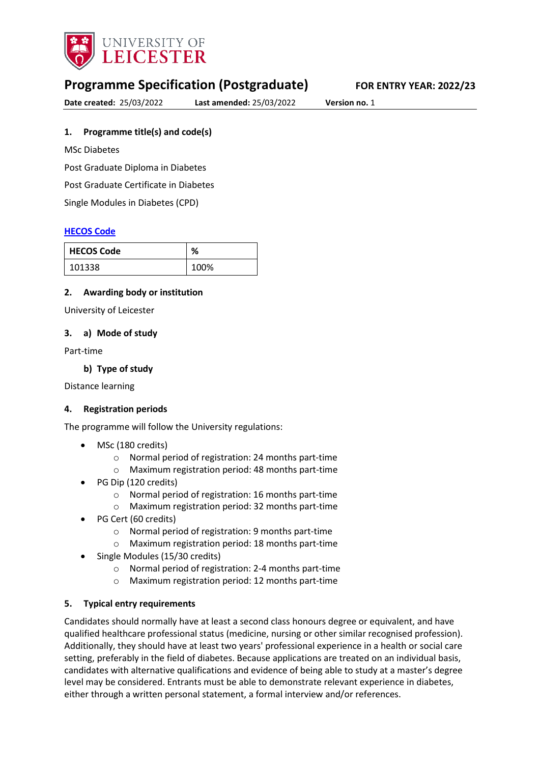

# **Programme Specification (Postgraduate) FOR ENTRY YEAR: 2022/23**

**Date created:** 25/03/2022 **Last amended:** 25/03/2022 **Version no.** 1

## <span id="page-0-0"></span>**1. Programme title(s) and code(s)**

MSc Diabetes

Post Graduate Diploma in Diabetes

Post Graduate Certificate in Diabetes

Single Modules in Diabetes (CPD)

#### **[HECOS Code](https://www.hesa.ac.uk/innovation/hecos)**

| <b>HECOS Code</b> | %    |
|-------------------|------|
| 101338            | 100% |

#### **2. Awarding body or institution**

University of Leicester

#### **3. a) Mode of study**

Part-time

#### **b) Type of study**

Distance learning

#### **4. Registration periods**

The programme will follow the University regulations:

- MSc (180 credits)
	- o Normal period of registration: 24 months part-time
	- o Maximum registration period: 48 months part-time
- PG Dip (120 credits)
	- o Normal period of registration: 16 months part-time
	- o Maximum registration period: 32 months part-time
- PG Cert (60 credits)
	- o Normal period of registration: 9 months part-time
	- o Maximum registration period: 18 months part-time
- Single Modules (15/30 credits)
	- o Normal period of registration: 2-4 months part-time
	- o Maximum registration period: 12 months part-time

#### **5. Typical entry requirements**

Candidates should normally have at least a second class honours degree or equivalent, and have qualified healthcare professional status (medicine, nursing or other similar recognised profession). Additionally, they should have at least two years' professional experience in a health or social care setting, preferably in the field of diabetes. Because applications are treated on an individual basis, candidates with alternative qualifications and evidence of being able to study at a master's degree level may be considered. Entrants must be able to demonstrate relevant experience in diabetes, either through a written personal statement, a formal interview and/or references.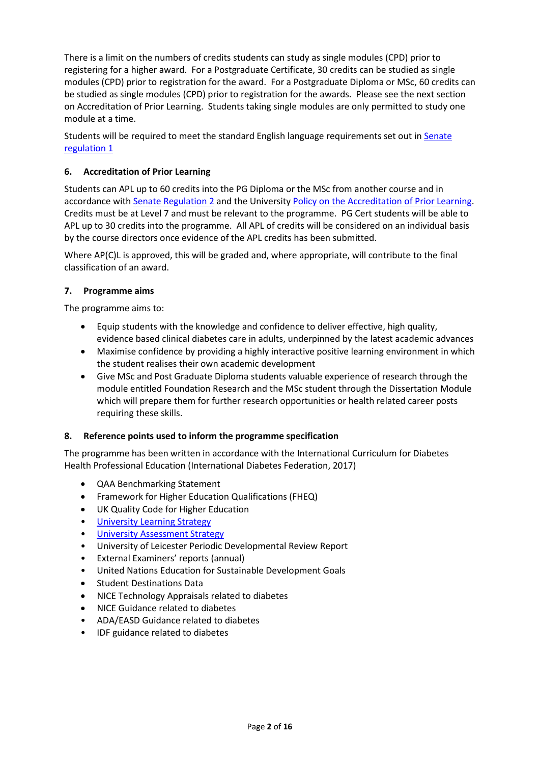There is a limit on the numbers of credits students can study as single modules (CPD) prior to registering for a higher award. For a Postgraduate Certificate, 30 credits can be studied as single modules (CPD) prior to registration for the award. For a Postgraduate Diploma or MSc, 60 credits can be studied as single modules (CPD) prior to registration for the awards. Please see the next section on Accreditation of Prior Learning. Students taking single modules are only permitted to study one module at a time.

Students will be required to meet the standard English language requirements set out in Senate [regulation 1](https://www2.le.ac.uk/offices/sas2/regulations/documents/senatereg1-entry)

## **6. Accreditation of Prior Learning**

Students can APL up to 60 credits into the PG Diploma or the MSc from another course and in accordance with [Senate Regulation 2](http://www.le.ac.uk/senate-regulation2) and the University [Policy on the Accreditation of Prior Learning.](http://www2.le.ac.uk/offices/sas2/quality/accreditation-of-prior-learning) Credits must be at Level 7 and must be relevant to the programme. PG Cert students will be able to APL up to 30 credits into the programme. All APL of credits will be considered on an individual basis by the course directors once evidence of the APL credits has been submitted.

Where AP(C)L is approved, this will be graded and, where appropriate, will contribute to the final classification of an award.

## **7. Programme aims**

The programme aims to:

- Equip students with the knowledge and confidence to deliver effective, high quality, evidence based clinical diabetes care in adults, underpinned by the latest academic advances
- Maximise confidence by providing a highly interactive positive learning environment in which the student realises their own academic development
- Give MSc and Post Graduate Diploma students valuable experience of research through the module entitled Foundation Research and the MSc student through the Dissertation Module which will prepare them for further research opportunities or health related career posts requiring these skills.

## **8. Reference points used to inform the programme specification**

The programme has been written in accordance with the International Curriculum for Diabetes Health Professional Education (International Diabetes Federation, 2017)

- QAA Benchmarking Statement
- Framework for Higher Education Qualifications (FHEQ)
- UK Quality Code for Higher Education
- [University Learning](https://www2.le.ac.uk/offices/sas2/quality/learnteach) Strategy
- [University Assessment Strategy](https://www2.le.ac.uk/offices/sas2/quality/learnteach)
- University of Leicester Periodic Developmental Review Report
- External Examiners' reports (annual)
- United Nations Education for Sustainable Development Goals
- Student Destinations Data
- NICE Technology Appraisals related to diabetes
- NICE Guidance related to diabetes
- ADA/EASD Guidance related to diabetes
- IDF guidance related to diabetes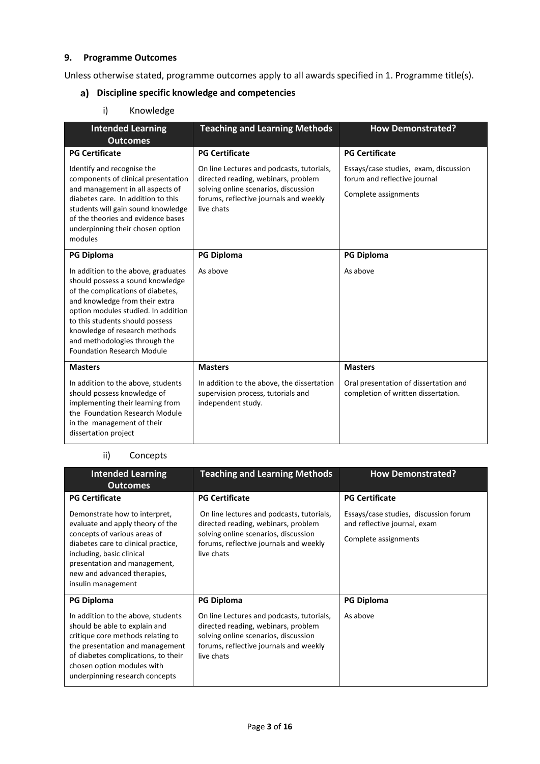## **9. Programme Outcomes**

Unless otherwise stated, programme outcomes apply to all awards specified in [1.](#page-0-0) Programme title(s).

# **Discipline specific knowledge and competencies**

i) Knowledge

| <b>Intended Learning</b><br><b>Outcomes</b>                                                                                                                                                                                                                                                                                     | <b>Teaching and Learning Methods</b>                                                                                                                                             | <b>How Demonstrated?</b>                                                                      |
|---------------------------------------------------------------------------------------------------------------------------------------------------------------------------------------------------------------------------------------------------------------------------------------------------------------------------------|----------------------------------------------------------------------------------------------------------------------------------------------------------------------------------|-----------------------------------------------------------------------------------------------|
| <b>PG Certificate</b>                                                                                                                                                                                                                                                                                                           | <b>PG Certificate</b>                                                                                                                                                            | <b>PG Certificate</b>                                                                         |
| Identify and recognise the<br>components of clinical presentation<br>and management in all aspects of<br>diabetes care. In addition to this<br>students will gain sound knowledge<br>of the theories and evidence bases<br>underpinning their chosen option<br>modules                                                          | On line Lectures and podcasts, tutorials,<br>directed reading, webinars, problem<br>solving online scenarios, discussion<br>forums, reflective journals and weekly<br>live chats | Essays/case studies, exam, discussion<br>forum and reflective journal<br>Complete assignments |
| <b>PG Diploma</b>                                                                                                                                                                                                                                                                                                               | <b>PG Diploma</b>                                                                                                                                                                | <b>PG Diploma</b>                                                                             |
| In addition to the above, graduates<br>should possess a sound knowledge<br>of the complications of diabetes,<br>and knowledge from their extra<br>option modules studied. In addition<br>to this students should possess<br>knowledge of research methods<br>and methodologies through the<br><b>Foundation Research Module</b> | As above                                                                                                                                                                         | As above                                                                                      |
| <b>Masters</b>                                                                                                                                                                                                                                                                                                                  | <b>Masters</b>                                                                                                                                                                   | <b>Masters</b>                                                                                |
| In addition to the above, students<br>should possess knowledge of<br>implementing their learning from<br>the Foundation Research Module<br>in the management of their<br>dissertation project                                                                                                                                   | In addition to the above, the dissertation<br>supervision process, tutorials and<br>independent study.                                                                           | Oral presentation of dissertation and<br>completion of written dissertation.                  |

# ii) Concepts

| <b>Intended Learning</b><br><b>Outcomes</b>                                                                                                                                                                                                                | <b>Teaching and Learning Methods</b>                                                                                                                                             | <b>How Demonstrated?</b>                                                                      |
|------------------------------------------------------------------------------------------------------------------------------------------------------------------------------------------------------------------------------------------------------------|----------------------------------------------------------------------------------------------------------------------------------------------------------------------------------|-----------------------------------------------------------------------------------------------|
| <b>PG Certificate</b>                                                                                                                                                                                                                                      | <b>PG Certificate</b>                                                                                                                                                            | <b>PG Certificate</b>                                                                         |
| Demonstrate how to interpret,<br>evaluate and apply theory of the<br>concepts of various areas of<br>diabetes care to clinical practice,<br>including, basic clinical<br>presentation and management,<br>new and advanced therapies,<br>insulin management | On line lectures and podcasts, tutorials,<br>directed reading, webinars, problem<br>solving online scenarios, discussion<br>forums, reflective journals and weekly<br>live chats | Essays/case studies, discussion forum<br>and reflective journal, exam<br>Complete assignments |
| <b>PG Diploma</b>                                                                                                                                                                                                                                          | <b>PG Diploma</b>                                                                                                                                                                | <b>PG Diploma</b>                                                                             |
| In addition to the above, students<br>should be able to explain and<br>critique core methods relating to<br>the presentation and management<br>of diabetes complications, to their<br>chosen option modules with<br>underpinning research concepts         | On line Lectures and podcasts, tutorials,<br>directed reading, webinars, problem<br>solving online scenarios, discussion<br>forums, reflective journals and weekly<br>live chats | As above                                                                                      |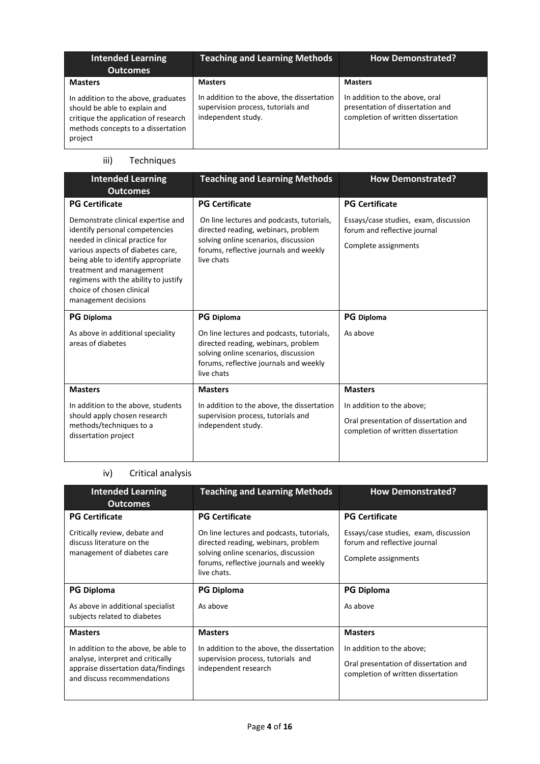| <b>Intended Learning</b><br><b>Outcomes</b>                                                                                                                                     | <b>Teaching and Learning Methods</b>                                                                                     | <b>How Demonstrated?</b>                                                                                                   |
|---------------------------------------------------------------------------------------------------------------------------------------------------------------------------------|--------------------------------------------------------------------------------------------------------------------------|----------------------------------------------------------------------------------------------------------------------------|
| <b>Masters</b><br>In addition to the above, graduates<br>should be able to explain and<br>critique the application of research<br>methods concepts to a dissertation<br>project | <b>Masters</b><br>In addition to the above, the dissertation<br>supervision process, tutorials and<br>independent study. | <b>Masters</b><br>In addition to the above, oral<br>presentation of dissertation and<br>completion of written dissertation |

# iii) Techniques

| <b>Intended Learning</b><br><b>Outcomes</b>                                                                                                                                                                                                                                                                 | <b>Teaching and Learning Methods</b>                                                                                                                                             | <b>How Demonstrated?</b>                                                                                 |
|-------------------------------------------------------------------------------------------------------------------------------------------------------------------------------------------------------------------------------------------------------------------------------------------------------------|----------------------------------------------------------------------------------------------------------------------------------------------------------------------------------|----------------------------------------------------------------------------------------------------------|
| <b>PG Certificate</b>                                                                                                                                                                                                                                                                                       | <b>PG Certificate</b>                                                                                                                                                            | <b>PG Certificate</b>                                                                                    |
| Demonstrate clinical expertise and<br>identify personal competencies<br>needed in clinical practice for<br>various aspects of diabetes care,<br>being able to identify appropriate<br>treatment and management<br>regimens with the ability to justify<br>choice of chosen clinical<br>management decisions | On line lectures and podcasts, tutorials,<br>directed reading, webinars, problem<br>solving online scenarios, discussion<br>forums, reflective journals and weekly<br>live chats | Essays/case studies, exam, discussion<br>forum and reflective journal<br>Complete assignments            |
| <b>PG</b> Diploma                                                                                                                                                                                                                                                                                           | <b>PG</b> Diploma                                                                                                                                                                | <b>PG</b> Diploma                                                                                        |
| As above in additional speciality<br>areas of diabetes                                                                                                                                                                                                                                                      | On line lectures and podcasts, tutorials,<br>directed reading, webinars, problem<br>solving online scenarios, discussion<br>forums, reflective journals and weekly<br>live chats | As above                                                                                                 |
| <b>Masters</b>                                                                                                                                                                                                                                                                                              | <b>Masters</b>                                                                                                                                                                   | <b>Masters</b>                                                                                           |
| In addition to the above, students<br>should apply chosen research<br>methods/techniques to a<br>dissertation project                                                                                                                                                                                       | In addition to the above, the dissertation<br>supervision process, tutorials and<br>independent study.                                                                           | In addition to the above;<br>Oral presentation of dissertation and<br>completion of written dissertation |

# iv) Critical analysis

| <b>Intended Learning</b>                                                                                                                        | <b>Teaching and Learning Methods</b>                                                                                                                                              | <b>How Demonstrated?</b>                                                                                 |
|-------------------------------------------------------------------------------------------------------------------------------------------------|-----------------------------------------------------------------------------------------------------------------------------------------------------------------------------------|----------------------------------------------------------------------------------------------------------|
| <b>Outcomes</b>                                                                                                                                 |                                                                                                                                                                                   |                                                                                                          |
| <b>PG Certificate</b>                                                                                                                           | <b>PG Certificate</b>                                                                                                                                                             | <b>PG Certificate</b>                                                                                    |
| Critically review, debate and<br>discuss literature on the<br>management of diabetes care                                                       | On line lectures and podcasts, tutorials,<br>directed reading, webinars, problem<br>solving online scenarios, discussion<br>forums, reflective journals and weekly<br>live chats. | Essays/case studies, exam, discussion<br>forum and reflective journal<br>Complete assignments            |
| <b>PG Diploma</b>                                                                                                                               | <b>PG Diploma</b>                                                                                                                                                                 | <b>PG Diploma</b>                                                                                        |
| As above in additional specialist<br>subjects related to diabetes                                                                               | As above                                                                                                                                                                          | As above                                                                                                 |
| <b>Masters</b>                                                                                                                                  | <b>Masters</b>                                                                                                                                                                    | <b>Masters</b>                                                                                           |
| In addition to the above, be able to<br>analyse, interpret and critically<br>appraise dissertation data/findings<br>and discuss recommendations | In addition to the above, the dissertation<br>supervision process, tutorials and<br>independent research                                                                          | In addition to the above;<br>Oral presentation of dissertation and<br>completion of written dissertation |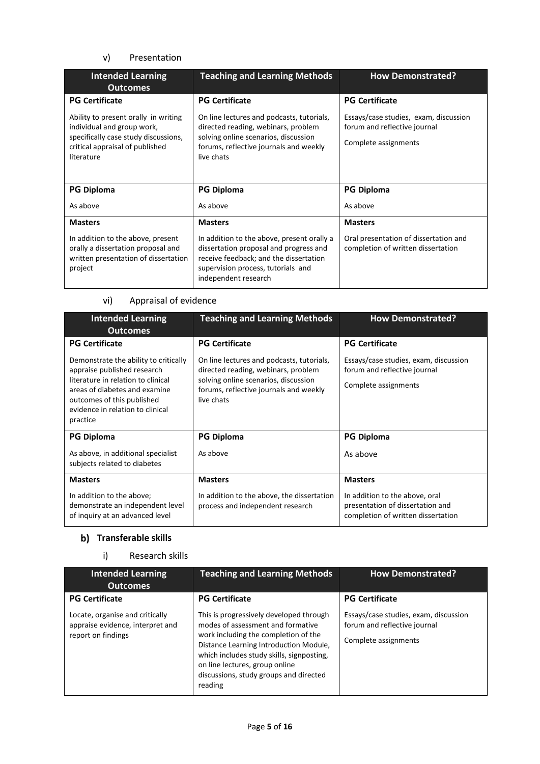## v) Presentation

| <b>Intended Learning</b><br><b>Outcomes</b>                                                                                                                 | <b>Teaching and Learning Methods</b>                                                                                                                                                         | <b>How Demonstrated?</b>                                                                      |
|-------------------------------------------------------------------------------------------------------------------------------------------------------------|----------------------------------------------------------------------------------------------------------------------------------------------------------------------------------------------|-----------------------------------------------------------------------------------------------|
| <b>PG Certificate</b>                                                                                                                                       | <b>PG Certificate</b>                                                                                                                                                                        | <b>PG Certificate</b>                                                                         |
| Ability to present orally in writing<br>individual and group work,<br>specifically case study discussions,<br>critical appraisal of published<br>literature | On line lectures and podcasts, tutorials,<br>directed reading, webinars, problem<br>solving online scenarios, discussion<br>forums, reflective journals and weekly<br>live chats             | Essays/case studies, exam, discussion<br>forum and reflective journal<br>Complete assignments |
| <b>PG Diploma</b>                                                                                                                                           | <b>PG Diploma</b>                                                                                                                                                                            | <b>PG Diploma</b>                                                                             |
| As above                                                                                                                                                    | As above                                                                                                                                                                                     | As above                                                                                      |
| <b>Masters</b>                                                                                                                                              | <b>Masters</b>                                                                                                                                                                               | <b>Masters</b>                                                                                |
| In addition to the above, present<br>orally a dissertation proposal and<br>written presentation of dissertation<br>project                                  | In addition to the above, present orally a<br>dissertation proposal and progress and<br>receive feedback; and the dissertation<br>supervision process, tutorials and<br>independent research | Oral presentation of dissertation and<br>completion of written dissertation                   |

## vi) Appraisal of evidence

| <b>Intended Learning</b><br><b>Outcomes</b>                                                                                                                                                                               | <b>Teaching and Learning Methods</b>                                                                                                                                             | <b>How Demonstrated?</b>                                                                                 |
|---------------------------------------------------------------------------------------------------------------------------------------------------------------------------------------------------------------------------|----------------------------------------------------------------------------------------------------------------------------------------------------------------------------------|----------------------------------------------------------------------------------------------------------|
| <b>PG Certificate</b>                                                                                                                                                                                                     | <b>PG Certificate</b>                                                                                                                                                            | <b>PG Certificate</b>                                                                                    |
| Demonstrate the ability to critically<br>appraise published research<br>literature in relation to clinical<br>areas of diabetes and examine<br>outcomes of this published<br>evidence in relation to clinical<br>practice | On line lectures and podcasts, tutorials,<br>directed reading, webinars, problem<br>solving online scenarios, discussion<br>forums, reflective journals and weekly<br>live chats | Essays/case studies, exam, discussion<br>forum and reflective journal<br>Complete assignments            |
| <b>PG Diploma</b>                                                                                                                                                                                                         | <b>PG Diploma</b>                                                                                                                                                                | <b>PG Diploma</b>                                                                                        |
| As above, in additional specialist<br>subjects related to diabetes                                                                                                                                                        | As above                                                                                                                                                                         | As above                                                                                                 |
| <b>Masters</b>                                                                                                                                                                                                            | <b>Masters</b>                                                                                                                                                                   | <b>Masters</b>                                                                                           |
| In addition to the above;<br>demonstrate an independent level<br>of inquiry at an advanced level                                                                                                                          | In addition to the above, the dissertation<br>process and independent research                                                                                                   | In addition to the above, oral<br>presentation of dissertation and<br>completion of written dissertation |

# **b)** Transferable skills

# i) Research skills

| <b>Intended Learning</b><br><b>Outcomes</b>                                               | <b>Teaching and Learning Methods</b>                                                                                                                                                                                                                                                               | <b>How Demonstrated?</b>                                                                      |
|-------------------------------------------------------------------------------------------|----------------------------------------------------------------------------------------------------------------------------------------------------------------------------------------------------------------------------------------------------------------------------------------------------|-----------------------------------------------------------------------------------------------|
|                                                                                           |                                                                                                                                                                                                                                                                                                    |                                                                                               |
| <b>PG Certificate</b>                                                                     | <b>PG Certificate</b>                                                                                                                                                                                                                                                                              | <b>PG Certificate</b>                                                                         |
| Locate, organise and critically<br>appraise evidence, interpret and<br>report on findings | This is progressively developed through<br>modes of assessment and formative<br>work including the completion of the<br>Distance Learning Introduction Module,<br>which includes study skills, signposting,<br>on line lectures, group online<br>discussions, study groups and directed<br>reading | Essays/case studies, exam, discussion<br>forum and reflective journal<br>Complete assignments |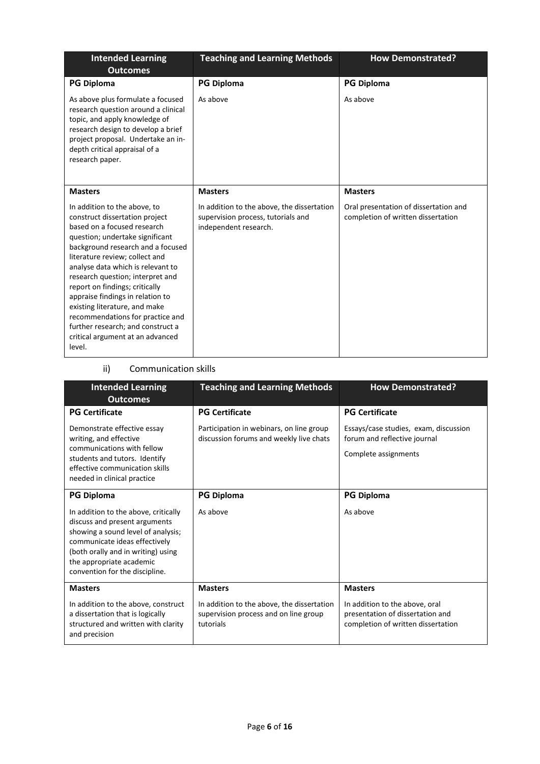| <b>Intended Learning</b><br><b>Outcomes</b>                                                                                                                                                                                                                                                                                                                                                                                                                                                                    | <b>Teaching and Learning Methods</b>                                                                      | <b>How Demonstrated?</b>                                                    |
|----------------------------------------------------------------------------------------------------------------------------------------------------------------------------------------------------------------------------------------------------------------------------------------------------------------------------------------------------------------------------------------------------------------------------------------------------------------------------------------------------------------|-----------------------------------------------------------------------------------------------------------|-----------------------------------------------------------------------------|
| <b>PG Diploma</b>                                                                                                                                                                                                                                                                                                                                                                                                                                                                                              | <b>PG Diploma</b>                                                                                         | <b>PG Diploma</b>                                                           |
| As above plus formulate a focused<br>research question around a clinical<br>topic, and apply knowledge of<br>research design to develop a brief<br>project proposal. Undertake an in-<br>depth critical appraisal of a<br>research paper.                                                                                                                                                                                                                                                                      | As above                                                                                                  | As above                                                                    |
| <b>Masters</b>                                                                                                                                                                                                                                                                                                                                                                                                                                                                                                 | <b>Masters</b>                                                                                            | <b>Masters</b>                                                              |
| In addition to the above, to<br>construct dissertation project<br>based on a focused research<br>question; undertake significant<br>background research and a focused<br>literature review; collect and<br>analyse data which is relevant to<br>research question; interpret and<br>report on findings; critically<br>appraise findings in relation to<br>existing literature, and make<br>recommendations for practice and<br>further research; and construct a<br>critical argument at an advanced<br>level. | In addition to the above, the dissertation<br>supervision process, tutorials and<br>independent research. | Oral presentation of dissertation and<br>completion of written dissertation |

#### ii) Communication skills

| <b>Intended Learning</b><br><b>Outcomes</b>                                                                                                                                                                                                      | <b>Teaching and Learning Methods</b>                                                             | <b>How Demonstrated?</b>                                                                                 |
|--------------------------------------------------------------------------------------------------------------------------------------------------------------------------------------------------------------------------------------------------|--------------------------------------------------------------------------------------------------|----------------------------------------------------------------------------------------------------------|
| <b>PG Certificate</b>                                                                                                                                                                                                                            | <b>PG Certificate</b>                                                                            | <b>PG Certificate</b>                                                                                    |
| Demonstrate effective essay<br>writing, and effective<br>communications with fellow<br>students and tutors. Identify<br>effective communication skills<br>needed in clinical practice                                                            | Participation in webinars, on line group<br>discussion forums and weekly live chats              | Essays/case studies, exam, discussion<br>forum and reflective journal<br>Complete assignments            |
| <b>PG Diploma</b>                                                                                                                                                                                                                                | <b>PG Diploma</b>                                                                                | <b>PG Diploma</b>                                                                                        |
| In addition to the above, critically<br>discuss and present arguments<br>showing a sound level of analysis;<br>communicate ideas effectively<br>(both orally and in writing) using<br>the appropriate academic<br>convention for the discipline. | As above                                                                                         | As above                                                                                                 |
| <b>Masters</b>                                                                                                                                                                                                                                   | <b>Masters</b>                                                                                   | <b>Masters</b>                                                                                           |
| In addition to the above, construct<br>a dissertation that is logically<br>structured and written with clarity<br>and precision                                                                                                                  | In addition to the above, the dissertation<br>supervision process and on line group<br>tutorials | In addition to the above, oral<br>presentation of dissertation and<br>completion of written dissertation |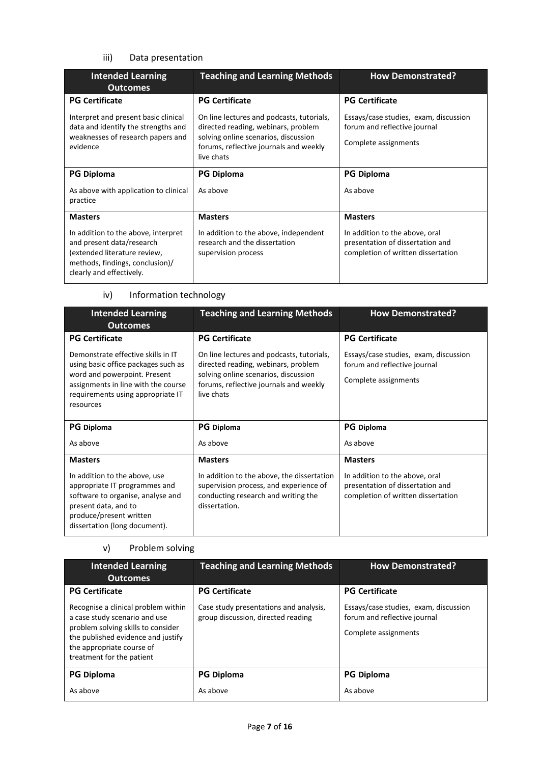## iii) Data presentation

| <b>Intended Learning</b><br><b>Outcomes</b>                                                                                                                     | <b>Teaching and Learning Methods</b>                                                                                                                                             | <b>How Demonstrated?</b>                                                                                 |
|-----------------------------------------------------------------------------------------------------------------------------------------------------------------|----------------------------------------------------------------------------------------------------------------------------------------------------------------------------------|----------------------------------------------------------------------------------------------------------|
| <b>PG Certificate</b>                                                                                                                                           | <b>PG Certificate</b>                                                                                                                                                            | <b>PG Certificate</b>                                                                                    |
| Interpret and present basic clinical<br>data and identify the strengths and<br>weaknesses of research papers and<br>evidence                                    | On line lectures and podcasts, tutorials,<br>directed reading, webinars, problem<br>solving online scenarios, discussion<br>forums, reflective journals and weekly<br>live chats | Essays/case studies, exam, discussion<br>forum and reflective journal<br>Complete assignments            |
| <b>PG Diploma</b>                                                                                                                                               | <b>PG Diploma</b>                                                                                                                                                                | <b>PG Diploma</b>                                                                                        |
| As above with application to clinical<br>practice                                                                                                               | As above                                                                                                                                                                         | As above                                                                                                 |
| <b>Masters</b>                                                                                                                                                  | <b>Masters</b>                                                                                                                                                                   | <b>Masters</b>                                                                                           |
| In addition to the above, interpret<br>and present data/research<br>(extended literature review,<br>methods, findings, conclusion)/<br>clearly and effectively. | In addition to the above, independent<br>research and the dissertation<br>supervision process                                                                                    | In addition to the above, oral<br>presentation of dissertation and<br>completion of written dissertation |

# iv) Information technology

| <b>Intended Learning</b><br><b>Outcomes</b>                                                                                                                                                        | <b>Teaching and Learning Methods</b>                                                                                                                                             | <b>How Demonstrated?</b>                                                                                 |  |
|----------------------------------------------------------------------------------------------------------------------------------------------------------------------------------------------------|----------------------------------------------------------------------------------------------------------------------------------------------------------------------------------|----------------------------------------------------------------------------------------------------------|--|
| <b>PG Certificate</b>                                                                                                                                                                              | <b>PG Certificate</b>                                                                                                                                                            | <b>PG Certificate</b>                                                                                    |  |
| Demonstrate effective skills in IT<br>using basic office packages such as<br>word and powerpoint. Present<br>assignments in line with the course<br>requirements using appropriate IT<br>resources | On line lectures and podcasts, tutorials,<br>directed reading, webinars, problem<br>solving online scenarios, discussion<br>forums, reflective journals and weekly<br>live chats | Essays/case studies, exam, discussion<br>forum and reflective journal<br>Complete assignments            |  |
| <b>PG</b> Diploma                                                                                                                                                                                  | <b>PG</b> Diploma                                                                                                                                                                | <b>PG</b> Diploma                                                                                        |  |
| As above                                                                                                                                                                                           | As above                                                                                                                                                                         | As above                                                                                                 |  |
| <b>Masters</b>                                                                                                                                                                                     | <b>Masters</b>                                                                                                                                                                   | <b>Masters</b>                                                                                           |  |
| In addition to the above, use<br>appropriate IT programmes and<br>software to organise, analyse and<br>present data, and to<br>produce/present written<br>dissertation (long document).            | In addition to the above, the dissertation<br>supervision process, and experience of<br>conducting research and writing the<br>dissertation.                                     | In addition to the above, oral<br>presentation of dissertation and<br>completion of written dissertation |  |

#### v) Problem solving

| <b>Intended Learning</b><br><b>Outcomes</b>                                                                                                                                                                                         | <b>Teaching and Learning Methods</b>                                                                  | <b>How Demonstrated?</b>                                                                                               |
|-------------------------------------------------------------------------------------------------------------------------------------------------------------------------------------------------------------------------------------|-------------------------------------------------------------------------------------------------------|------------------------------------------------------------------------------------------------------------------------|
| <b>PG Certificate</b><br>Recognise a clinical problem within<br>a case study scenario and use<br>problem solving skills to consider<br>the published evidence and justify<br>the appropriate course of<br>treatment for the patient | <b>PG Certificate</b><br>Case study presentations and analysis,<br>group discussion, directed reading | <b>PG Certificate</b><br>Essays/case studies, exam, discussion<br>forum and reflective journal<br>Complete assignments |
| <b>PG Diploma</b><br>As above                                                                                                                                                                                                       | <b>PG Diploma</b><br>As above                                                                         | <b>PG Diploma</b><br>As above                                                                                          |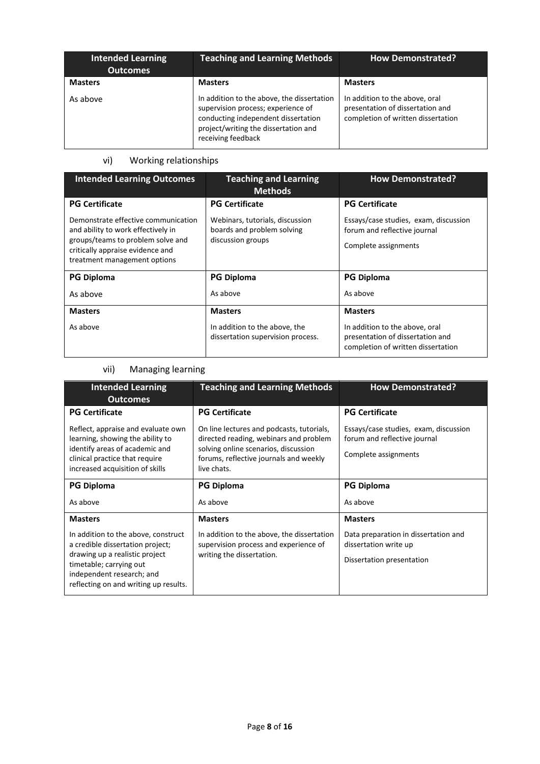| <b>Intended Learning</b><br><b>Outcomes</b> | <b>Teaching and Learning Methods</b>                                                                                                                                                  | <b>How Demonstrated?</b>                                                                                 |
|---------------------------------------------|---------------------------------------------------------------------------------------------------------------------------------------------------------------------------------------|----------------------------------------------------------------------------------------------------------|
| <b>Masters</b>                              | <b>Masters</b>                                                                                                                                                                        | <b>Masters</b>                                                                                           |
| As above                                    | In addition to the above, the dissertation<br>supervision process; experience of<br>conducting independent dissertation<br>project/writing the dissertation and<br>receiving feedback | In addition to the above, oral<br>presentation of dissertation and<br>completion of written dissertation |

# vi) Working relationships

| <b>Intended Learning Outcomes</b>                                                                                                                                                  | <b>Teaching and Learning</b><br><b>Methods</b>                                     | <b>How Demonstrated?</b>                                                                                 |
|------------------------------------------------------------------------------------------------------------------------------------------------------------------------------------|------------------------------------------------------------------------------------|----------------------------------------------------------------------------------------------------------|
| <b>PG Certificate</b>                                                                                                                                                              | <b>PG Certificate</b>                                                              | <b>PG Certificate</b>                                                                                    |
| Demonstrate effective communication<br>and ability to work effectively in<br>groups/teams to problem solve and<br>critically appraise evidence and<br>treatment management options | Webinars, tutorials, discussion<br>boards and problem solving<br>discussion groups | Essays/case studies, exam, discussion<br>forum and reflective journal<br>Complete assignments            |
| <b>PG Diploma</b>                                                                                                                                                                  | <b>PG Diploma</b>                                                                  | <b>PG Diploma</b>                                                                                        |
| As above                                                                                                                                                                           | As above                                                                           | As above                                                                                                 |
| <b>Masters</b>                                                                                                                                                                     | <b>Masters</b>                                                                     | <b>Masters</b>                                                                                           |
| As above                                                                                                                                                                           | In addition to the above, the<br>dissertation supervision process.                 | In addition to the above, oral<br>presentation of dissertation and<br>completion of written dissertation |

# vii) Managing learning

| <b>Intended Learning</b><br><b>Outcomes</b>                                                                                                                                                                | <b>Teaching and Learning Methods</b>                                                                                                                                                 | <b>How Demonstrated?</b>                                                                      |
|------------------------------------------------------------------------------------------------------------------------------------------------------------------------------------------------------------|--------------------------------------------------------------------------------------------------------------------------------------------------------------------------------------|-----------------------------------------------------------------------------------------------|
| <b>PG Certificate</b>                                                                                                                                                                                      | <b>PG Certificate</b>                                                                                                                                                                | <b>PG Certificate</b>                                                                         |
| Reflect, appraise and evaluate own<br>learning, showing the ability to<br>identify areas of academic and<br>clinical practice that require<br>increased acquisition of skills                              | On line lectures and podcasts, tutorials,<br>directed reading, webinars and problem<br>solving online scenarios, discussion<br>forums, reflective journals and weekly<br>live chats. | Essays/case studies, exam, discussion<br>forum and reflective journal<br>Complete assignments |
| <b>PG Diploma</b>                                                                                                                                                                                          | <b>PG Diploma</b>                                                                                                                                                                    | <b>PG Diploma</b>                                                                             |
| As above                                                                                                                                                                                                   | As above                                                                                                                                                                             | As above                                                                                      |
| <b>Masters</b>                                                                                                                                                                                             | <b>Masters</b>                                                                                                                                                                       | <b>Masters</b>                                                                                |
| In addition to the above, construct<br>a credible dissertation project;<br>drawing up a realistic project<br>timetable; carrying out<br>independent research; and<br>reflecting on and writing up results. | In addition to the above, the dissertation<br>supervision process and experience of<br>writing the dissertation.                                                                     | Data preparation in dissertation and<br>dissertation write up<br>Dissertation presentation    |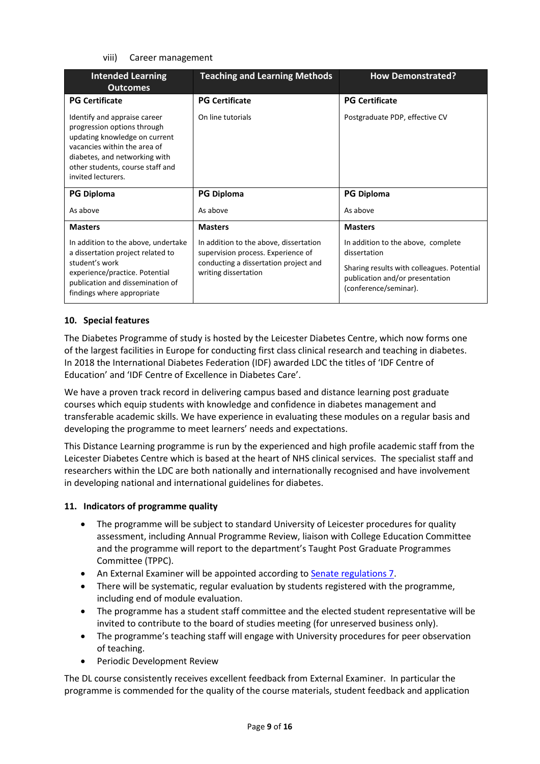#### viii) Career management

| <b>Intended Learning</b><br><b>Outcomes</b>                                                                                                                                                                             | <b>Teaching and Learning Methods</b>                                                                                                          | <b>How Demonstrated?</b>                                                                                                                                     |  |
|-------------------------------------------------------------------------------------------------------------------------------------------------------------------------------------------------------------------------|-----------------------------------------------------------------------------------------------------------------------------------------------|--------------------------------------------------------------------------------------------------------------------------------------------------------------|--|
| <b>PG Certificate</b>                                                                                                                                                                                                   | <b>PG Certificate</b>                                                                                                                         | <b>PG Certificate</b>                                                                                                                                        |  |
| Identify and appraise career<br>progression options through<br>updating knowledge on current<br>vacancies within the area of<br>diabetes, and networking with<br>other students, course staff and<br>invited lecturers. | On line tutorials                                                                                                                             | Postgraduate PDP, effective CV                                                                                                                               |  |
| <b>PG Diploma</b>                                                                                                                                                                                                       | <b>PG Diploma</b>                                                                                                                             | <b>PG Diploma</b>                                                                                                                                            |  |
| As above                                                                                                                                                                                                                | As above                                                                                                                                      | As above                                                                                                                                                     |  |
| <b>Masters</b>                                                                                                                                                                                                          | <b>Masters</b>                                                                                                                                | <b>Masters</b>                                                                                                                                               |  |
| In addition to the above, undertake<br>a dissertation project related to<br>student's work<br>experience/practice. Potential<br>publication and dissemination of<br>findings where appropriate                          | In addition to the above, dissertation<br>supervision process. Experience of<br>conducting a dissertation project and<br>writing dissertation | In addition to the above, complete<br>dissertation<br>Sharing results with colleagues. Potential<br>publication and/or presentation<br>(conference/seminar). |  |

#### **10. Special features**

The Diabetes Programme of study is hosted by the Leicester Diabetes Centre, which now forms one of the largest facilities in Europe for conducting first class clinical research and teaching in diabetes. In 2018 the International Diabetes Federation (IDF) awarded LDC the titles of 'IDF Centre of Education' and 'IDF Centre of Excellence in Diabetes Care'.

We have a proven track record in delivering campus based and distance learning post graduate courses which equip students with knowledge and confidence in diabetes management and transferable academic skills. We have experience in evaluating these modules on a regular basis and developing the programme to meet learners' needs and expectations.

This Distance Learning programme is run by the experienced and high profile academic staff from the Leicester Diabetes Centre which is based at the heart of NHS clinical services.The specialist staff and researchers within the LDC are both nationally and internationally recognised and have involvement in developing national and international guidelines for diabetes.

#### **11. Indicators of programme quality**

- The programme will be subject to standard University of Leicester procedures for quality assessment, including Annual Programme Review, liaison with College Education Committee and the programme will report to the department's Taught Post Graduate Programmes Committee (TPPC).
- An External Examiner will be appointed according to [Senate regulations 7.](http://www.le.ac.uk/senate-regulations)
- There will be systematic, regular evaluation by students registered with the programme, including end of module evaluation.
- The programme has a student staff committee and the elected student representative will be invited to contribute to the board of studies meeting (for unreserved business only).
- The programme's teaching staff will engage with University procedures for peer observation of teaching.
- Periodic Development Review

The DL course consistently receives excellent feedback from External Examiner. In particular the programme is commended for the quality of the course materials, student feedback and application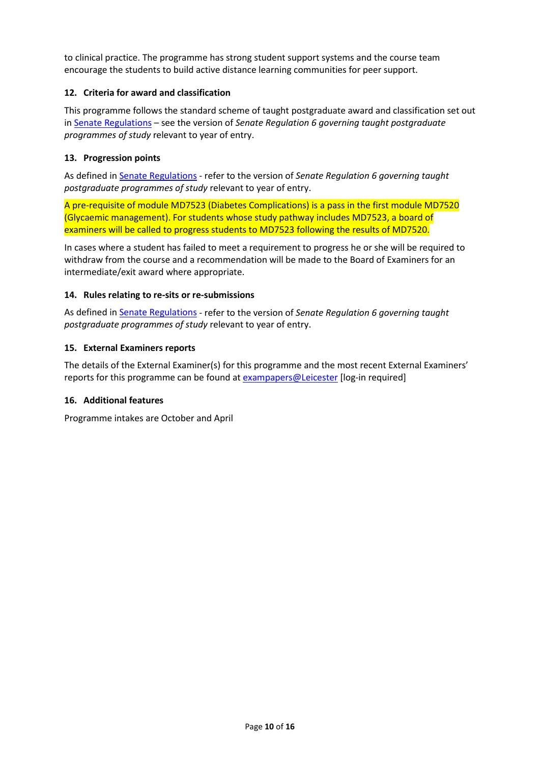to clinical practice. The programme has strong student support systems and the course team encourage the students to build active distance learning communities for peer support.

## **12. Criteria for award and classification**

This programme follows the standard scheme of taught postgraduate award and classification set out i[n Senate Regulations](http://www.le.ac.uk/senate-regulations) – see the version of *Senate Regulation 6 governing taught postgraduate programmes of study* relevant to year of entry.

#### **13. Progression points**

As defined i[n Senate Regulations](http://www.le.ac.uk/senate-regulation6) - refer to the version of *Senate Regulation 6 governing taught postgraduate programmes of study* relevant to year of entry.

A pre-requisite of module MD7523 (Diabetes Complications) is a pass in the first module MD7520 (Glycaemic management). For students whose study pathway includes MD7523, a board of examiners will be called to progress students to MD7523 following the results of MD7520.

In cases where a student has failed to meet a requirement to progress he or she will be required to withdraw from the course and a recommendation will be made to the Board of Examiners for an intermediate/exit award where appropriate.

#### **14. Rules relating to re-sits or re-submissions**

As defined i[n Senate Regulations](http://www.le.ac.uk/senate-regulation6) - refer to the version of *Senate Regulation 6 governing taught postgraduate programmes of study* relevant to year of entry.

#### **15. External Examiners reports**

The details of the External Examiner(s) for this programme and the most recent External Examiners' reports for this programme can be found at [exampapers@Leicester](https://exampapers.le.ac.uk/) [log-in required]

#### **16. Additional features**

Programme intakes are October and April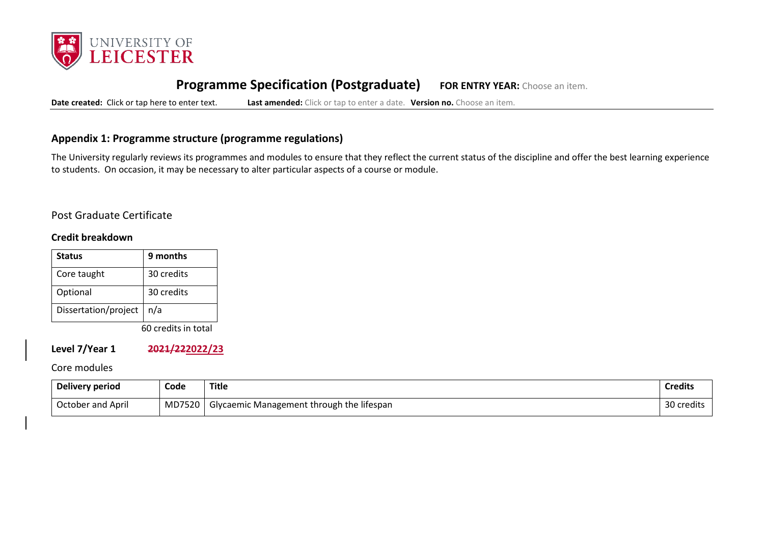

# **Programme Specification (Postgraduate) FOR ENTRY YEAR:** Choose an item.

**Date created:** Click or tap here to enter text. **Last amended:** Click or tap to enter a date. **Version no.** Choose an item.

## **Appendix 1: Programme structure (programme regulations)**

The University regularly reviews its programmes and modules to ensure that they reflect the current status of the discipline and offer the best learning experience to students. On occasion, it may be necessary to alter particular aspects of a course or module.

## Post Graduate Certificate

#### **Credit breakdown**

| <b>Status</b>        | 9 months   |
|----------------------|------------|
| Core taught          | 30 credits |
| Optional             | 30 credits |
| Dissertation/project | n/a        |

60 credits in total

**Level 7/Year 1 2021/222022/23**

## Core modules

| Delivery period   | Code   | <b>Title</b>                                | <b>Credits</b> |
|-------------------|--------|---------------------------------------------|----------------|
| October and April | MD7520 | ' Glycaemic Management through the lifespan | 30 credits     |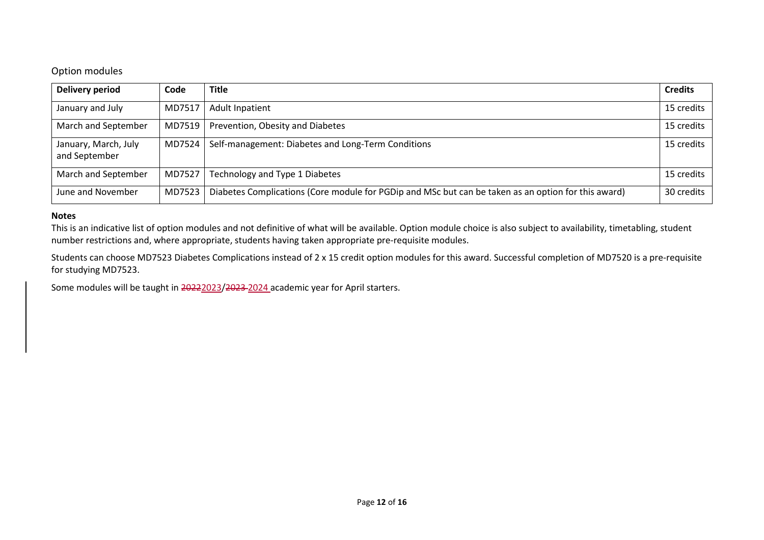## Option modules

| Delivery period                       | Code     | <b>Title</b>                                                                                        | <b>Credits</b> |
|---------------------------------------|----------|-----------------------------------------------------------------------------------------------------|----------------|
| January and July                      | MD7517   | <b>Adult Inpatient</b>                                                                              | 15 credits     |
| March and September                   |          | MD7519   Prevention, Obesity and Diabetes                                                           | 15 credits     |
| January, March, July<br>and September | MD7524 l | Self-management: Diabetes and Long-Term Conditions                                                  | 15 credits     |
| March and September                   | MD7527   | Technology and Type 1 Diabetes                                                                      | 15 credits     |
| June and November                     | MD7523   | Diabetes Complications (Core module for PGDip and MSc but can be taken as an option for this award) | 30 credits     |

#### **Notes**

This is an indicative list of option modules and not definitive of what will be available. Option module choice is also subject to availability, timetabling, student number restrictions and, where appropriate, students having taken appropriate pre-requisite modules.

Students can choose MD7523 Diabetes Complications instead of 2 x 15 credit option modules for this award. Successful completion of MD7520 is a pre-requisite for studying MD7523.

Some modules will be taught in 20222023/2023 2024 academic year for April starters.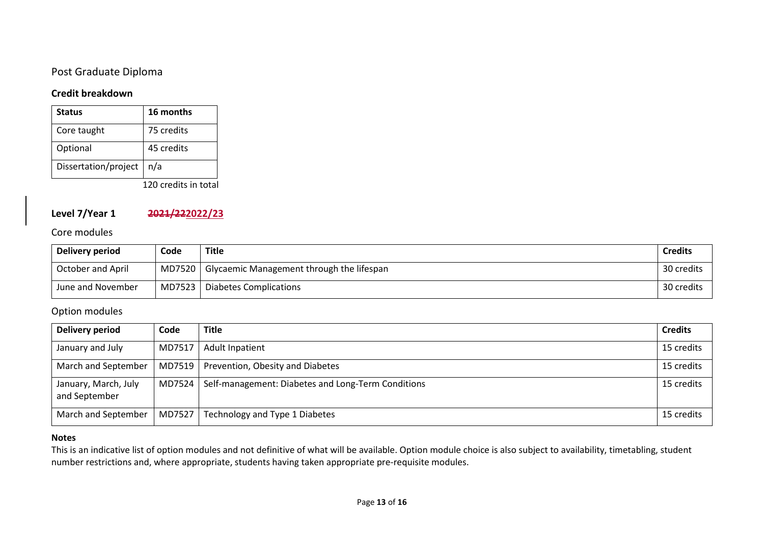# Post Graduate Diploma

## **Credit breakdown**

| <b>Status</b>        | 16 months  |
|----------------------|------------|
| Core taught          | 75 credits |
| Optional             | 45 credits |
| Dissertation/project | n/a        |

120 credits in total

# **Level 7/Year 1 2021/222022/23**

#### Core modules

| Delivery period   | Code | Title                                              | <b>Credits</b> |
|-------------------|------|----------------------------------------------------|----------------|
| October and April |      | MD7520   Glycaemic Management through the lifespan | 30 credits     |
| June and November |      | MD7523   Diabetes Complications                    | 30 credits     |

# Option modules

| Delivery period                       | Code   | <b>Title</b>                                       | <b>Credits</b> |
|---------------------------------------|--------|----------------------------------------------------|----------------|
| January and July                      | MD7517 | <b>Adult Inpatient</b>                             | 15 credits     |
| March and September                   | MD7519 | Prevention, Obesity and Diabetes                   | 15 credits     |
| January, March, July<br>and September | MD7524 | Self-management: Diabetes and Long-Term Conditions | 15 credits     |
| March and September                   | MD7527 | Technology and Type 1 Diabetes                     | 15 credits     |

#### **Notes**

This is an indicative list of option modules and not definitive of what will be available. Option module choice is also subject to availability, timetabling, student number restrictions and, where appropriate, students having taken appropriate pre-requisite modules.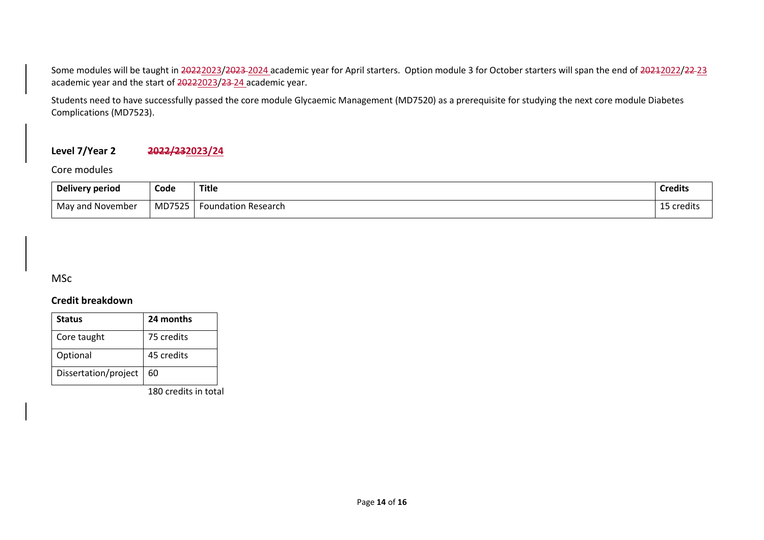Some modules will be taught in 20222023/2023 2024 academic year for April starters. Option module 3 for October starters will span the end of 20212022/22-23 academic year and the start of 20222023/23-24 academic year.

Students need to have successfully passed the core module Glycaemic Management (MD7520) as a prerequisite for studying the next core module Diabetes Complications (MD7523).

# **Level 7/Year 2 2022/232023/24**

Core modules

| Delivery period  | Code   | Title               | <b>Credits</b> |
|------------------|--------|---------------------|----------------|
| May and November | MD7525 | Foundation Research | 5 credits      |

**MSc** 

## **Credit breakdown**

| <b>Status</b>        | 24 months  |
|----------------------|------------|
| Core taught          | 75 credits |
| Optional             | 45 credits |
| Dissertation/project | 60         |

180 credits in total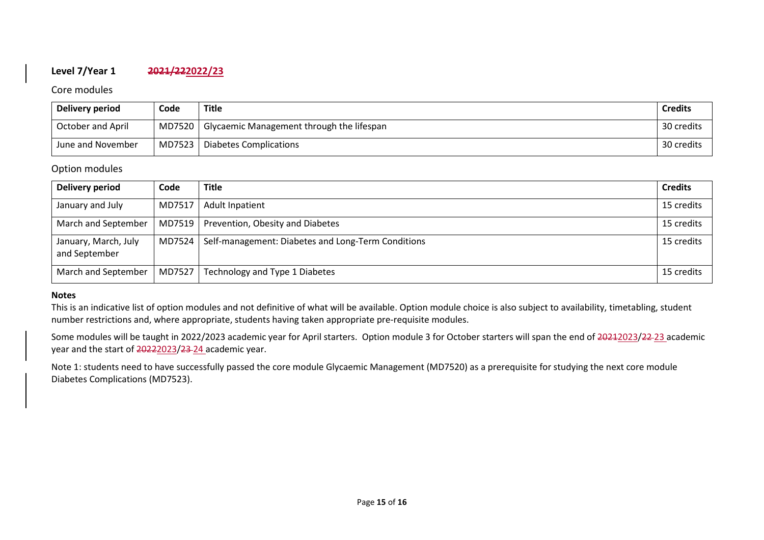# **Level 7/Year 1 2021/222022/23**

#### Core modules

| Delivery period          | Code   | <b>Title</b>                                       | <b>Credits</b> |
|--------------------------|--------|----------------------------------------------------|----------------|
| <b>October and April</b> |        | MD7520   Glycaemic Management through the lifespan | 30 credits     |
| June and November        | MD7523 | Diabetes Complications                             | 30 credits     |

## Option modules

| Delivery period                       | Code     | <b>Title</b>                                       | <b>Credits</b> |
|---------------------------------------|----------|----------------------------------------------------|----------------|
| January and July                      | MD7517   | <b>Adult Inpatient</b>                             | 15 credits     |
| March and September                   |          | MD7519   Prevention, Obesity and Diabetes          | 15 credits     |
| January, March, July<br>and September | MD7524 L | Self-management: Diabetes and Long-Term Conditions | 15 credits     |
| March and September                   | MD7527   | Technology and Type 1 Diabetes                     | 15 credits     |

#### **Notes**

This is an indicative list of option modules and not definitive of what will be available. Option module choice is also subject to availability, timetabling, student number restrictions and, where appropriate, students having taken appropriate pre-requisite modules.

Some modules will be taught in 2022/2023 academic year for April starters. Option module 3 for October starters will span the end of 20212023/22-23 academic year and the start of 20222023/23-24 academic year.

Note 1: students need to have successfully passed the core module Glycaemic Management (MD7520) as a prerequisite for studying the next core module Diabetes Complications (MD7523).